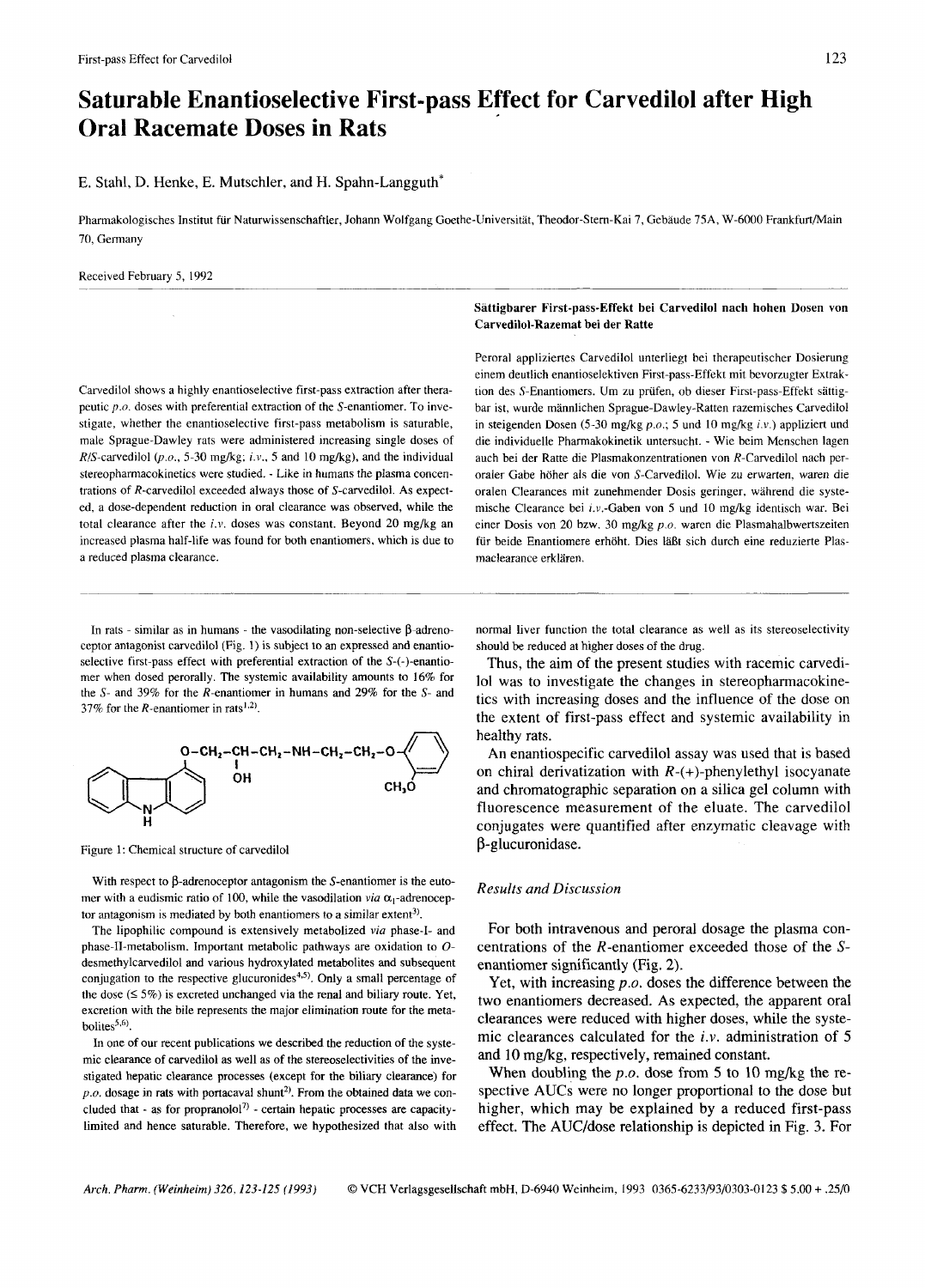# **Saturable Enantioselective First-pass Effect for Carvedilol after High Oral Racemate Doses in Rats**

E. Stahl, D. Henke, E. Mutschler, and H. Spahn-Langguth\*

Pharmakologisches Institut für Naturwissenschaftler, Johann Wolfgang Goethe-Universität, Theodor-Stern-Kai 7, Gebäude 75A, W-6000 Frankfurt/Main 70, Germany

Received February *5,* 1992

Carvedilol shows a highly enantioselective first-pass extraction after therapeutic *p.0.* doses with preferential extraction of the S-enantiomer. To investigate, whether the enantioselective first-pass metabolism is saturable, male Sprague-Dawley rats were administered increasing single doses of  $R/S$ -carvedilol (p.o., 5-30 mg/kg; i.v., 5 and 10 mg/kg), and the individual stereopharrnacokinetics were studied. - Like in humans the plasma concentrations of R-carvedilol exceeded always those of S-carvedilol. **As** expected, a dose-dependent reduction in oral clearance was observed, while the total clearance after the *i.v.* doses was constant. Beyond 20 mg/kg an increased plasma half-life was found for both enantiomers, which is due to a reduced plasma clearance.

## Sattigbarer First-pass-Effekt bei Carvedilol nach hohen Dosen von Carvedilol-Razemat bei der Ratte

Peroral appliziertes Carvedilol unterliegt bei therapeutischer Dosierung einem deutlich enantioselektiven First-pass-Effekt mit bevorzugter Extraktion des S-Enantiomers. Um zu prüfen, ob dieser First-pass-Effekt sättigbar ist, wurde mannlichen Sprague-Dawley-Ratten razemisches Carvedilol in steigenden Dosen (5-30 mg/kg *p.o.*; 5 und 10 mg/kg *i.v.*) appliziert und die individuelle Pharmakokinetik untersucht. - Wie beim Menschen lagen auch bei der Ratte die Plasmakonzentrationen von R-Carvedilol nach peroraler Gabe hoher als die von S-Carvedilol. Wie zu erwarten, waren die oralen Clearances mit zunehmender Dosis geringer, wahrend die systemische Clearance bei i.v.-Gaben von *5* und 10 mgkg identisch war. Bei einer Dosis von 20 bzw. 30 mgkg *p.0.* waren die Plasmahalbwertszeiten für beide Enantiomere erhöht. Dies läßt sich durch eine reduzierte Plasmaclearance erklären.

In rats - similar as in humans - the vasodilating non-selective  $\beta$ -adrenoceptor antagonist carvedilol (Fig. **1)** is subject to an expressed and enantioselective first-pass effect with preferential extraction of the S-(-)-enantiomer when dosed perorally. The systemic availability amounts to 16% for the *S-* and 39% for the R-enantiomer in humans and 29% for the *S-* and 37% for the R-enantiomer in rats<sup>1,2)</sup>.



Figure 1: Chemical structure of carvedilol

With respect to  $\beta$ -adrenoceptor antagonism the *S*-enantiomer is the eutomer with a eudismic ratio of 100, while the vasodilation *via*  $\alpha_1$ -adrenoceptor antagonism is mediated by both enantiomers to a similar extent<sup>3)</sup>.

The lipophilic compound is extensively metabolized *via* phase-I- and phase-11-metabolism. Important metabolic pathways are oxidation to *0*  desmethylcarvedilol and various hydroxylated metabolites and subsequent desineury carvednot and various hydroxylated metabolites and subsequent<br>conjugation to the respective glucuronides<sup>4,5)</sup>. Only a small percentage of<br>the dose  $( \leq 5\%)$  is excreted unchanged via the renal and biliary rout excretion with the bile represents the major elimination route for the metabolites $^{5,6}$ .

In one of our recent publications we described the reduction of the systemic clearance of carvedilol as well as of the stereoselectivities of the investigated hepatic clearance processes (except **for** the biliary clearance) for  $p.o.$  dosage in rats with portacaval shunt<sup>2</sup>. From the obtained data we concluded that - as for propranolol<sup>7)</sup> - certain hepatic processes are capacitylimited and hence saturable. Therefore, we hypothesized that also with normal liver function the total clearance as well as its stereoselectivity should be reduced at higher doses of the drug.

Thus, the aim of the present studies with racemic carvedilo1 was to investigate the changes in stereopharmacokinetics with increasing doses and the influence of the dose on the extent of first-pass effect and systemic availability in healthy rats.

An enantiospecific carvedilol assay was used that is based on chiral derivatization with  $R-(+)$ -phenylethyl isocyanate and chromatographic separation on a silica gel column with fluorescence measurement of the eluate. The carvedilol conjugates were quantified after enzymatic cleavage with P-glucuronidase.

## Results *and Discussion*

For both intravenous and peroral dosage the plasma concentrations of the R-enantiomer exceeded those of the *S*enantiomer significantly (Fig. 2).

Yet, with increasing *p.0.* doses the difference between the two enantiomers decreased. **As** expected, the apparent oral clearances were reduced with higher doses, while the systemic clearances calculated for the *i.v.* administration of 5 and 10 mg/kg, respectively, remained constant.

When doubling the *p.o.* dose from 5 to 10 mg/kg the respective AUCs were no longer proportional to the dose but higher, which may be explained by a reduced first-pass effect. The AUC/dose relationship is depicted in Fig. **3.** For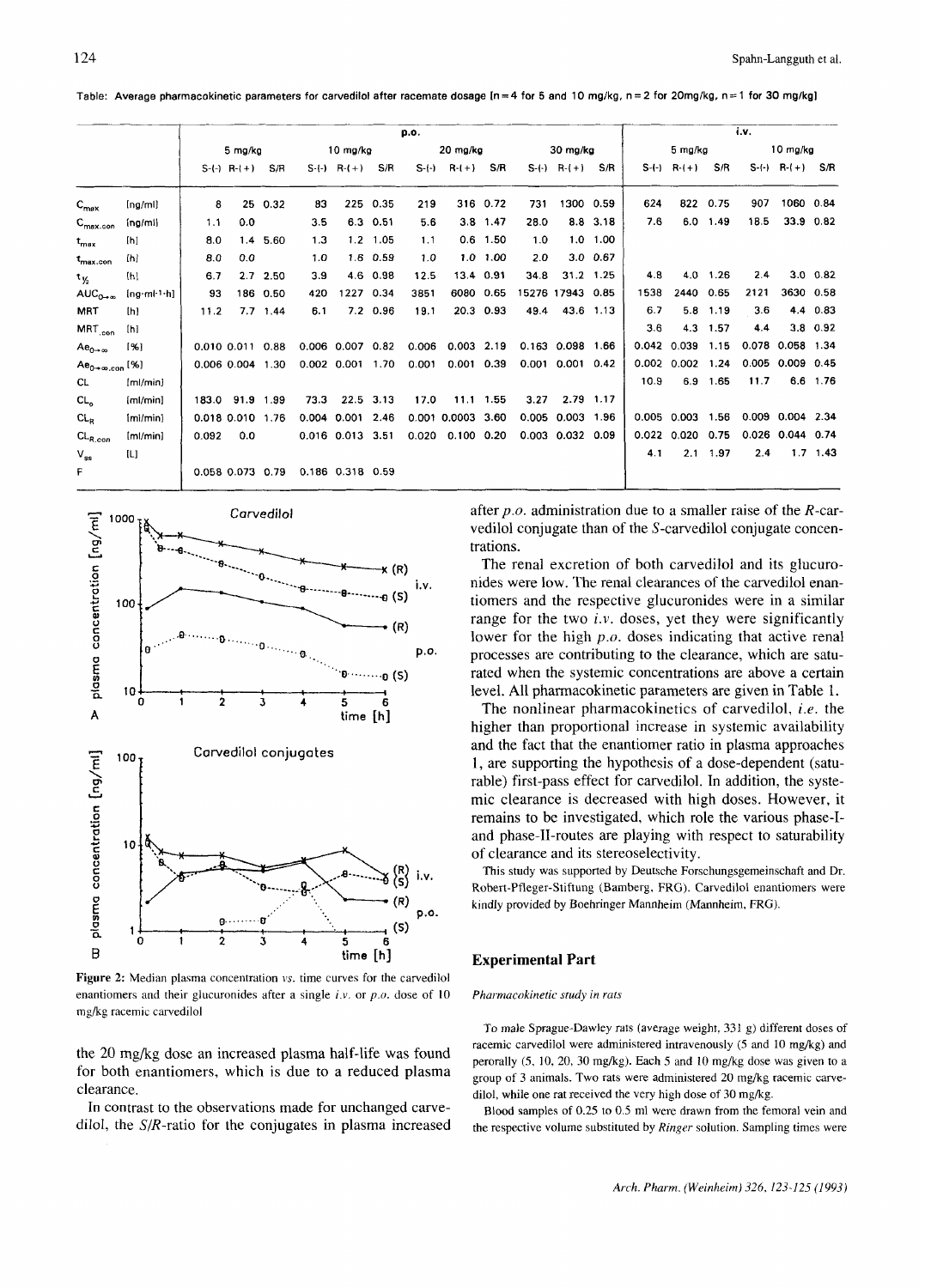Table: Average pharmacokinetic parameters for carvedilol after racemate dosage [n = 4 for 5 and 10 mg/kg, n = 2 for 20mg/kg, n = 1 for 30 mg/kg]

|                            |                  | p.o.    |                  |            |      |                        |            |        |              |            |      |                      |                  | i.v.    |              |                  |      |                        |              |  |
|----------------------------|------------------|---------|------------------|------------|------|------------------------|------------|--------|--------------|------------|------|----------------------|------------------|---------|--------------|------------------|------|------------------------|--------------|--|
|                            |                  | 5 mg/kg |                  |            |      | $10$ mg/kg             |            |        | 20 mg/kg     |            |      | $30 \, \text{mg/kg}$ |                  |         | 5 mg/kg      |                  |      | 10 ma/ka               |              |  |
|                            |                  |         | $S-(-) R-(+)$    | S/R        |      | $S-(-)$ $R-(+)$        | S/R        | $S-()$ | $R-(+)$      | S/R        |      | $S-(-) R-(+)$        | S/R              | $S-(-)$ | $R-(+)$      | S/R              |      | $S-(-)$ R- $(+)$       | -S/R         |  |
| $C_{\text{max}}$           | [ng/ml]          | 8       |                  | 25 0.32    | 83   |                        | 225 0.35   | 219    |              | 316 0.72   | 731  | 1300 0.59            |                  | 624     | 822          | 0.75             | 907  |                        | 1060 0.84    |  |
| $C_{\text{max.com}}$       | [ng/ml]          | 1.1     | 0.0              |            | 3.5  |                        | 6.3 0.51   | 5.6    |              | $3.8$ 1.47 | 28.0 |                      | 8.8 3.18         | 7.6     | 6.0          | 1.49             | 18.5 |                        | 33.9 0.82    |  |
| $t_{\rm max}$              | [h]              | 8.0     |                  | 1.4 5.60   | 1.3  | 1.2                    | 1.05       | 1.1    |              | $0.6$ 1.50 | 1.0  |                      | $1.0 \quad 1.00$ |         |              |                  |      |                        |              |  |
| $t_{\rm max.con}$          | [h]              | 8.0     | 0.0              |            | 1.0  |                        | $1.6$ 0.59 | 1.0    |              | 1.0 1.00   | 2.0  |                      | $3.0\quad 0.67$  |         |              |                  |      |                        |              |  |
| $t_{V_2}$                  | [h]              | 6.7     |                  | $2.7$ 2.50 | 3.9  | 4.6                    | 0.98       | 12.5   |              | 13.4 0.91  | 34.8 |                      | 31.2 1.25        | 4.8     | 4.0          | 1.26             | 2.4  | 3.0                    | 0.82         |  |
| $AUC_{0\rightarrow\infty}$ | $[ng ml^{-1}$ h] | 93      |                  | 186 0.50   | 420  | 1227 0.34              |            | 3851   |              | 6080 0.65  |      | 15276 17943 0.85     |                  | 1538    | 2440         | 0.65             | 2121 | 3630 0.58              |              |  |
| <b>MRT</b>                 | [h]              | 11.2    |                  | $7.7$ 1.44 | 6.1  |                        | 7.2 0.96   | 19.1   | 20.3         | 0.93       | 49.4 |                      | 43.6 1.13        | 6.7     | 5.8          | 1.19             | 3.6  | 4.4                    | 0.83         |  |
| MRT <sub>.con</sub>        | [h]              |         |                  |            |      |                        |            |        |              |            |      |                      |                  | 3.6     | 4.3          | 1.57             | 4.4  |                        | $3.8$ $0.92$ |  |
| $Ae_{0-\infty}$            | [%]              |         | 0.010 0.011      | 0.88       |      | $0.006$ $0.007$ $0.82$ |            | 0.006  | $0.003$ 2.19 |            |      | $0.163$ 0.098        | 1.66             | 0.042   | 0.039        | 1.15             |      | 0.078 0.058 1.34       |              |  |
| $Ae_{0+\infty,con}$ [%]    |                  |         | 0.006 0.004 1.30 |            |      | 0.002 0.001 1.70       |            | 0.001  | $0.001$ 0.39 |            |      | 0.001 0.001 0.42     |                  | 0.002   | $0.002$ 1.24 |                  |      | $0.005$ $0.009$ $0.45$ |              |  |
| CL.                        | [ml/min]         |         |                  |            |      |                        |            |        |              |            |      |                      |                  | 10.9    | 6.9          | 1.65             | 11.7 | 6.6                    | 1.76         |  |
| CL,                        | [ml/min]         | 183.0   | 91.9 1.99        |            | 73.3 | 22.5                   | 3.13       | 17.0   | 11.1         | 1.55       | 3.27 |                      | 2.79 1.17        |         |              |                  |      |                        |              |  |
| $CL_{R}$                   | (ml/min)         |         | 0.018 0.010 1.76 |            |      | 0.004 0.001 2.46       |            |        | 0.001 0.0003 | 3.60       |      | 0.005 0.003 1.96     |                  | 0.005   | 0.003        | 1.56             |      | 0.009 0.004 2.34       |              |  |
| $CL_{R.com}$               | [m]/min]         | 0.092   | 0.0              |            |      | 0.016 0.013 3.51       |            | 0.020  | 0.100        | 0.20       |      | 0.003 0.032 0.09     |                  | 0.022   | 0.020        | 0.75             |      | $0.026$ 0.044          | 0.74         |  |
| $V_{ss}$                   | [L]              |         |                  |            |      |                        |            |        |              |            |      |                      |                  | 41      |              | $2.1 \quad 1.97$ | 2.4  |                        | $1.7$ 1.43   |  |
| F                          |                  |         | 0.058 0.073 0.79 |            |      | 0.186 0.318 0.59       |            |        |              |            |      |                      |                  |         |              |                  |      |                        |              |  |



Figure 2: Median plasma concentration *vs*. time curves for the carvedilol enantiomers and their glucuronides after a single i.v. or *p.0.* dose of 10 mgkg racemic carvedilol

the 20 mg/kg dose an increased plasma half-life was found for both enantiomers, which is due to a reduced plasma clearance.

In contrast to the observations made for unchanged carvedilol, the  $S/R$ -ratio for the conjugates in plasma increased

after *p.0.* administration due to a smaller raise of the R-carvedilol conjugate than of the S-carvedilol conjugate concentrations.

The renal excretion of both carvedilol and its glucuronides were low. The renal clearances of the carvedilol enantiomers and the respective glucuronides were in a similar range for the two *i.v.* doses, yet they were significantly lower for the high *p.0.* doses indicating that active renal processes are contributing to the clearance, which are saturated when the systemic concentrations are above a certain level. All pharmacokinetic parameters are given in Table 1.

The nonlinear pharmacokinetics of carvedilol, *i.e.* the higher than proportional increase in systemic availability and the fact that the enantiomer ratio in plasma approaches 1, are supporting the hypothesis of a dose-dependent (saturable) first-pass effect for carvedilol. In addition, the systemic clearance is decreased with high doses. However, it remains to be investigated, which role the various phase-1 and phase-11-routes are playing with respect to saturability of clearance and its stereoselectivity.

This study was supported by Deutsche Forschungsgemeinschaft and Dr. Robert-Pfleger-Stiftung (Bamberg, FRG). Carvedilol enantiomers were kindly provided by Boehringer Mannheim (Mannheim, FRG).

## **Experimental Part**

#### *Pharmacokinetic study in rats*

To male Sprague-Dawley rats (average weight, 331 g) different doses of racemic carvedilol were administered intravenously (5 and 10 mg/kg) and perorally (5, 10, 20, 30 mgkg). Each *5* and 10 mgkg dose was given to a group of 3 animals. Two rats were administered 20 mg/kg racemic carvedilol, while one rat received the very high dose of 30 mg/kg.

Blood samples of *0.25* to 0.5 ml were drawn from the femoral vein and the respective volume substituted by *Ringer* solution. Sampling times were